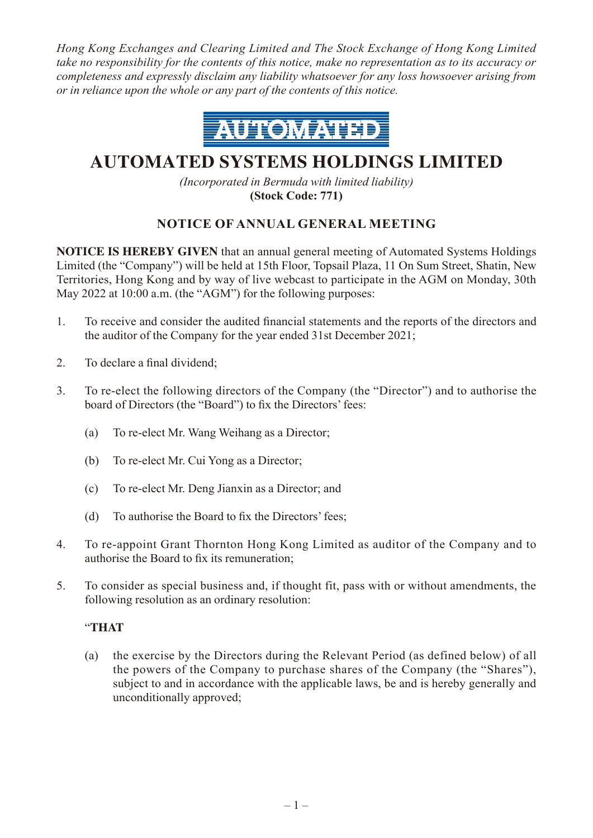*Hong Kong Exchanges and Clearing Limited and The Stock Exchange of Hong Kong Limited take no responsibility for the contents of this notice, make no representation as to its accuracy or completeness and expressly disclaim any liability whatsoever for any loss howsoever arising from or in reliance upon the whole or any part of the contents of this notice.*



# **AUTOMATED SYSTEMS HOLDINGS LIMITED**

*(Incorporated in Bermuda with limited liability)* **(Stock Code: 771)**

# **NOTICE OF ANNUAL GENERAL MEETING**

**NOTICE IS HEREBY GIVEN** that an annual general meeting of Automated Systems Holdings Limited (the "Company") will be held at 15th Floor, Topsail Plaza, 11 On Sum Street, Shatin, New Territories, Hong Kong and by way of live webcast to participate in the AGM on Monday, 30th May 2022 at 10:00 a.m. (the "AGM") for the following purposes:

- 1. To receive and consider the audited financial statements and the reports of the directors and the auditor of the Company for the year ended 31st December 2021;
- 2. To declare a final dividend;
- 3. To re-elect the following directors of the Company (the "Director") and to authorise the board of Directors (the "Board") to fix the Directors'fees:
	- (a) To re-elect Mr. Wang Weihang as a Director;
	- (b) To re-elect Mr. Cui Yong as a Director;
	- (c) To re-elect Mr. Deng Jianxin as a Director; and
	- (d) To authorise the Board to fix the Directors' fees;
- 4. To re-appoint Grant Thornton Hong Kong Limited as auditor of the Company and to authorise the Board to fix its remuneration;
- 5. To consider as special business and, if thought fit, pass with or without amendments, the following resolution as an ordinary resolution:

## "**THAT**

(a) the exercise by the Directors during the Relevant Period (as defined below) of all the powers of the Company to purchase shares of the Company (the "Shares"), subject to and in accordance with the applicable laws, be and is hereby generally and unconditionally approved;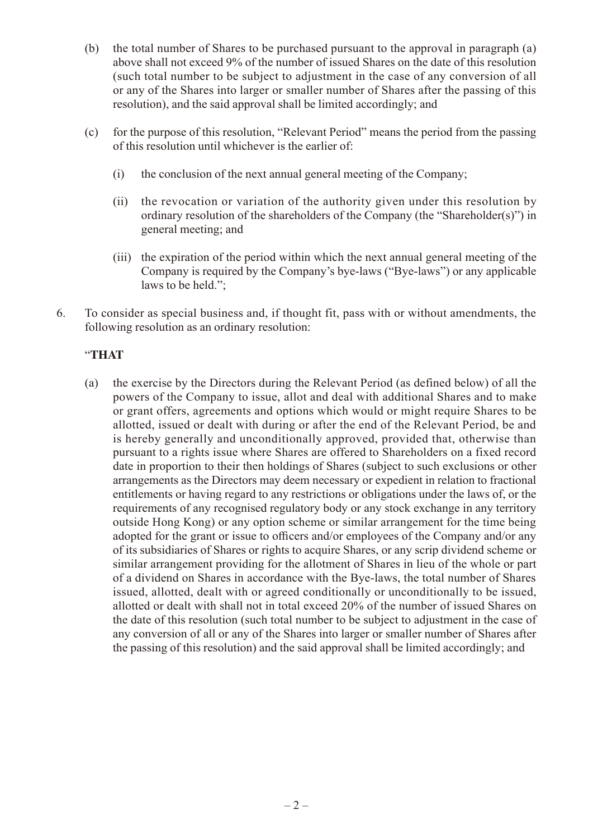- (b) the total number of Shares to be purchased pursuant to the approval in paragraph (a) above shall not exceed 9% of the number of issued Shares on the date of this resolution (such total number to be subject to adjustment in the case of any conversion of all or any of the Shares into larger or smaller number of Shares after the passing of this resolution), and the said approval shall be limited accordingly; and
- (c) for the purpose of this resolution, "Relevant Period" means the period from the passing of this resolution until whichever is the earlier of:
	- (i) the conclusion of the next annual general meeting of the Company;
	- (ii) the revocation or variation of the authority given under this resolution by ordinary resolution of the shareholders of the Company (the "Shareholder(s)") in general meeting; and
	- (iii) the expiration of the period within which the next annual general meeting of the Company is required by the Company's bye-laws ("Bye-laws") or any applicable laws to be held.";
- 6. To consider as special business and, if thought fit, pass with or without amendments, the following resolution as an ordinary resolution:

## "**THAT**

(a) the exercise by the Directors during the Relevant Period (as defined below) of all the powers of the Company to issue, allot and deal with additional Shares and to make or grant offers, agreements and options which would or might require Shares to be allotted, issued or dealt with during or after the end of the Relevant Period, be and is hereby generally and unconditionally approved, provided that, otherwise than pursuant to a rights issue where Shares are offered to Shareholders on a fixed record date in proportion to their then holdings of Shares (subject to such exclusions or other arrangements as the Directors may deem necessary or expedient in relation to fractional entitlements or having regard to any restrictions or obligations under the laws of, or the requirements of any recognised regulatory body or any stock exchange in any territory outside Hong Kong) or any option scheme or similar arrangement for the time being adopted for the grant or issue to officers and/or employees of the Company and/or any of its subsidiaries of Shares or rights to acquire Shares, or any scrip dividend scheme or similar arrangement providing for the allotment of Shares in lieu of the whole or part of a dividend on Shares in accordance with the Bye-laws, the total number of Shares issued, allotted, dealt with or agreed conditionally or unconditionally to be issued, allotted or dealt with shall not in total exceed 20% of the number of issued Shares on the date of this resolution (such total number to be subject to adjustment in the case of any conversion of all or any of the Shares into larger or smaller number of Shares after the passing of this resolution) and the said approval shall be limited accordingly; and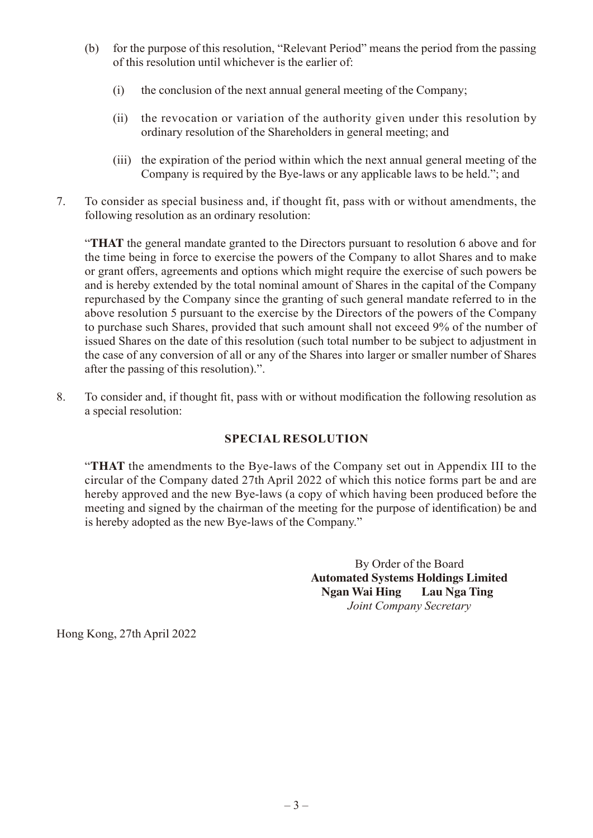- (b) for the purpose of this resolution, "Relevant Period" means the period from the passing of this resolution until whichever is the earlier of:
	- (i) the conclusion of the next annual general meeting of the Company;
	- (ii) the revocation or variation of the authority given under this resolution by ordinary resolution of the Shareholders in general meeting; and
	- (iii) the expiration of the period within which the next annual general meeting of the Company is required by the Bye-laws or any applicable laws to be held."; and
- 7. To consider as special business and, if thought fit, pass with or without amendments, the following resolution as an ordinary resolution:

"**THAT** the general mandate granted to the Directors pursuant to resolution 6 above and for the time being in force to exercise the powers of the Company to allot Shares and to make or grant offers, agreements and options which might require the exercise of such powers be and is hereby extended by the total nominal amount of Shares in the capital of the Company repurchased by the Company since the granting of such general mandate referred to in the above resolution 5 pursuant to the exercise by the Directors of the powers of the Company to purchase such Shares, provided that such amount shall not exceed 9% of the number of issued Shares on the date of this resolution (such total number to be subject to adjustment in the case of any conversion of all or any of the Shares into larger or smaller number of Shares after the passing of this resolution).".

8. To consider and, if thought fit, pass with or without modification the following resolution as a special resolution:

# **SPECIAL RESOLUTION**

"**THAT** the amendments to the Bye-laws of the Company set out in Appendix III to the circular of the Company dated 27th April 2022 of which this notice forms part be and are hereby approved and the new Bye-laws (a copy of which having been produced before the meeting and signed by the chairman of the meeting for the purpose of identification) be and is hereby adopted as the new Bye-laws of the Company."

> By Order of the Board **Automated Systems Holdings Limited Ngan Wai Hing Lau Nga Ting** *Joint Company Secretary*

Hong Kong, 27th April 2022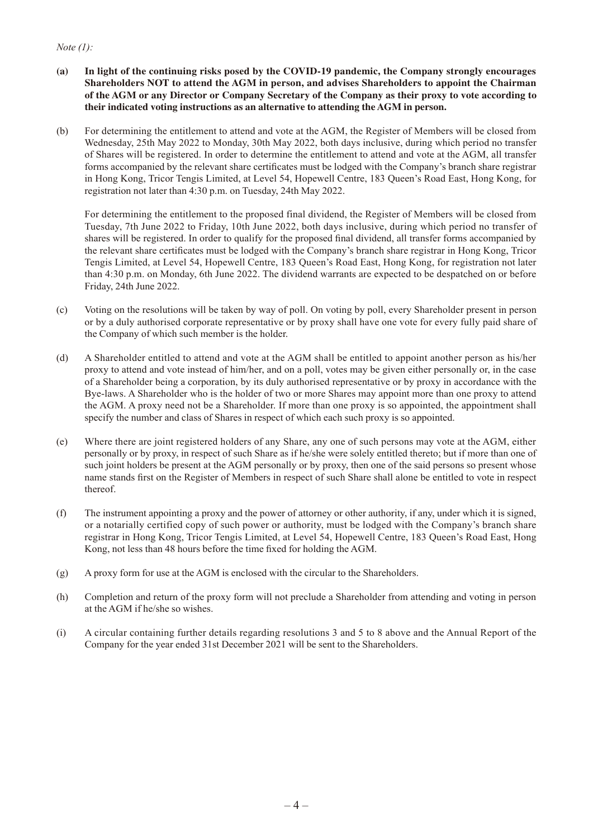## *Note (1):*

- **(a) In light of the continuing risks posed by the COVID-19 pandemic, the Company strongly encourages Shareholders NOT to attend the AGM in person, and advises Shareholders to appoint the Chairman of the AGM or any Director or Company Secretary of the Company as their proxy to vote according to their indicated voting instructions as an alternative to attending the AGM in person.**
- (b) For determining the entitlement to attend and vote at the AGM, the Register of Members will be closed from Wednesday, 25th May 2022 to Monday, 30th May 2022, both days inclusive, during which period no transfer of Shares will be registered. In order to determine the entitlement to attend and vote at the AGM, all transfer forms accompanied by the relevant share certificates must be lodged with the Company's branch share registrar in Hong Kong, Tricor Tengis Limited, at Level 54, Hopewell Centre, 183 Queen's Road East, Hong Kong, for registration not later than 4:30 p.m. on Tuesday, 24th May 2022.

For determining the entitlement to the proposed final dividend, the Register of Members will be closed from Tuesday, 7th June 2022 to Friday, 10th June 2022, both days inclusive, during which period no transfer of shares will be registered. In order to qualify for the proposed final dividend, all transfer forms accompanied by the relevant share certificates must be lodged with the Company's branch share registrar in Hong Kong, Tricor Tengis Limited, at Level 54, Hopewell Centre, 183 Queen's Road East, Hong Kong, for registration not later than 4:30 p.m. on Monday, 6th June 2022. The dividend warrants are expected to be despatched on or before Friday, 24th June 2022.

- (c) Voting on the resolutions will be taken by way of poll. On voting by poll, every Shareholder present in person or by a duly authorised corporate representative or by proxy shall have one vote for every fully paid share of the Company of which such member is the holder.
- (d) A Shareholder entitled to attend and vote at the AGM shall be entitled to appoint another person as his/her proxy to attend and vote instead of him/her, and on a poll, votes may be given either personally or, in the case of a Shareholder being a corporation, by its duly authorised representative or by proxy in accordance with the Bye-laws. A Shareholder who is the holder of two or more Shares may appoint more than one proxy to attend the AGM. A proxy need not be a Shareholder. If more than one proxy is so appointed, the appointment shall specify the number and class of Shares in respect of which each such proxy is so appointed.
- (e) Where there are joint registered holders of any Share, any one of such persons may vote at the AGM, either personally or by proxy, in respect of such Share as if he/she were solely entitled thereto; but if more than one of such joint holders be present at the AGM personally or by proxy, then one of the said persons so present whose name stands first on the Register of Members in respect of such Share shall alone be entitled to vote in respect thereof.
- (f) The instrument appointing a proxy and the power of attorney or other authority, if any, under which it is signed, or a notarially certified copy of such power or authority, must be lodged with the Company's branch share registrar in Hong Kong, Tricor Tengis Limited, at Level 54, Hopewell Centre, 183 Queen's Road East, Hong Kong, not less than 48 hours before the time fixed for holding the AGM.
- (g) A proxy form for use at the AGM is enclosed with the circular to the Shareholders.
- (h) Completion and return of the proxy form will not preclude a Shareholder from attending and voting in person at the AGM if he/she so wishes.
- (i) A circular containing further details regarding resolutions 3 and 5 to 8 above and the Annual Report of the Company for the year ended 31st December 2021 will be sent to the Shareholders.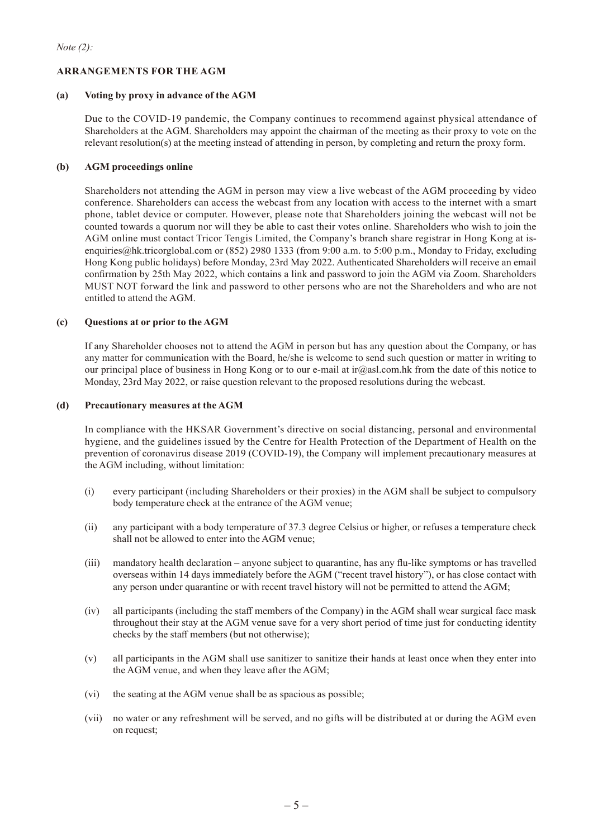## **ARRANGEMENTS FOR THE AGM**

#### **(a) Voting by proxy in advance of the AGM**

Due to the COVID-19 pandemic, the Company continues to recommend against physical attendance of Shareholders at the AGM. Shareholders may appoint the chairman of the meeting as their proxy to vote on the relevant resolution(s) at the meeting instead of attending in person, by completing and return the proxy form.

### **(b) AGM proceedings online**

Shareholders not attending the AGM in person may view a live webcast of the AGM proceeding by video conference. Shareholders can access the webcast from any location with access to the internet with a smart phone, tablet device or computer. However, please note that Shareholders joining the webcast will not be counted towards a quorum nor will they be able to cast their votes online. Shareholders who wish to join the AGM online must contact Tricor Tengis Limited, the Company's branch share registrar in Hong Kong at isenquiries@hk.tricorglobal.com or (852) 2980 1333 (from 9:00 a.m. to 5:00 p.m., Monday to Friday, excluding Hong Kong public holidays) before Monday, 23rd May 2022. Authenticated Shareholders will receive an email confirmation by 25th May 2022, which contains a link and password to join the AGM via Zoom. Shareholders MUST NOT forward the link and password to other persons who are not the Shareholders and who are not entitled to attend the AGM.

#### **(c) Questions at or prior to the AGM**

If any Shareholder chooses not to attend the AGM in person but has any question about the Company, or has any matter for communication with the Board, he/she is welcome to send such question or matter in writing to our principal place of business in Hong Kong or to our e-mail at ir@asl.com.hk from the date of this notice to Monday, 23rd May 2022, or raise question relevant to the proposed resolutions during the webcast.

#### **(d) Precautionary measures at the AGM**

In compliance with the HKSAR Government's directive on social distancing, personal and environmental hygiene, and the guidelines issued by the Centre for Health Protection of the Department of Health on the prevention of coronavirus disease 2019 (COVID-19), the Company will implement precautionary measures at the AGM including, without limitation:

- (i) every participant (including Shareholders or their proxies) in the AGM shall be subject to compulsory body temperature check at the entrance of the AGM venue;
- (ii) any participant with a body temperature of 37.3 degree Celsius or higher, or refuses a temperature check shall not be allowed to enter into the AGM venue;
- (iii) mandatory health declaration anyone subject to quarantine, has any flu-like symptoms or has travelled overseas within 14 days immediately before the AGM ("recent travel history"), or has close contact with any person under quarantine or with recent travel history will not be permitted to attend the AGM;
- (iv) all participants (including the staff members of the Company) in the AGM shall wear surgical face mask throughout their stay at the AGM venue save for a very short period of time just for conducting identity checks by the staff members (but not otherwise);
- (v) all participants in the AGM shall use sanitizer to sanitize their hands at least once when they enter into the AGM venue, and when they leave after the AGM;
- (vi) the seating at the AGM venue shall be as spacious as possible;
- (vii) no water or any refreshment will be served, and no gifts will be distributed at or during the AGM even on request;